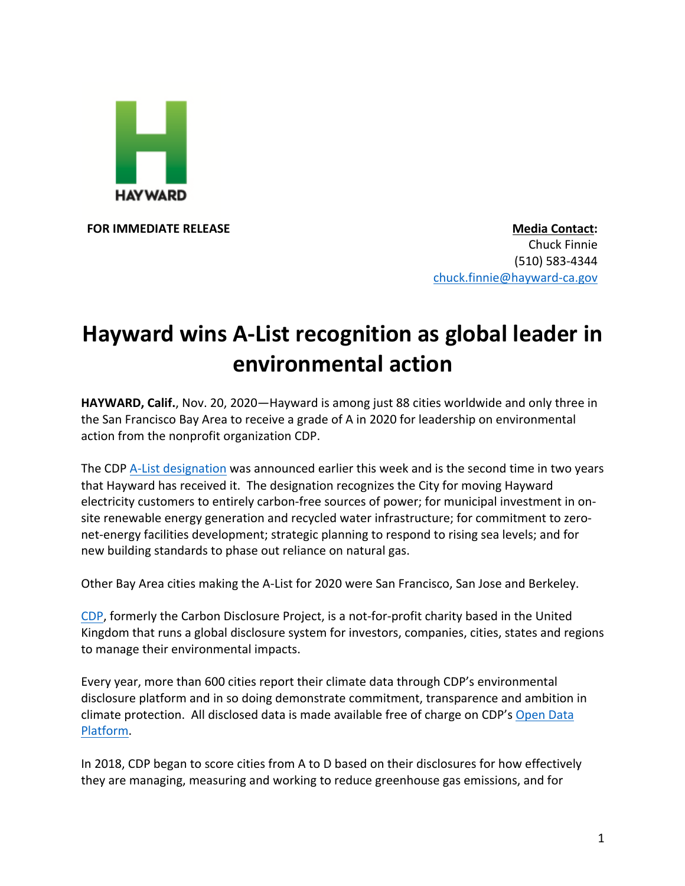

**FOR IMMEDIATE RELEASE Media Contact:** Chuck Finnie (510) 583-4344 chuck.finnie@hayward-ca.gov

## **Hayward wins A-List recognition as global leader in environmental action**

**HAYWARD, Calif.**, Nov. 20, 2020—Hayward is among just 88 cities worldwide and only three in the San Francisco Bay Area to receive a grade of A in 2020 for leadership on environmental action from the nonprofit organization CDP.

The CDP A-List designation was announced earlier this week and is the second time in two years that Hayward has received it. The designation recognizes the City for moving Hayward electricity customers to entirely carbon-free sources of power; for municipal investment in onsite renewable energy generation and recycled water infrastructure; for commitment to zeronet-energy facilities development; strategic planning to respond to rising sea levels; and for new building standards to phase out reliance on natural gas.

Other Bay Area cities making the A-List for 2020 were San Francisco, San Jose and Berkeley.

CDP, formerly the Carbon Disclosure Project, is a not-for-profit charity based in the United Kingdom that runs a global disclosure system for investors, companies, cities, states and regions to manage their environmental impacts.

Every year, more than 600 cities report their climate data through CDP's environmental disclosure platform and in so doing demonstrate commitment, transparence and ambition in climate protection. All disclosed data is made available free of charge on CDP's Open Data Platform.

In 2018, CDP began to score cities from A to D based on their disclosures for how effectively they are managing, measuring and working to reduce greenhouse gas emissions, and for